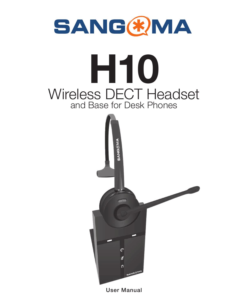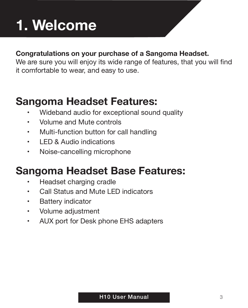# **1. Welcome**

### **Congratulations on your purchase of a Sangoma Headset.**

We are sure you will enjoy its wide range of features, that you will find it comfortable to wear, and easy to use.

# **Sangoma Headset Features:**

- Wideband audio for exceptional sound quality
- Volume and Mute controls
- Multi-function button for call handling
- LED & Audio indications
- Noise-cancelling microphone

# **Sangoma Headset Base Features:**

- Headset charging cradle
- Call Status and Mute LED indicators
- Battery indicator
- Volume adjustment
- AUX port for Desk phone EHS adapters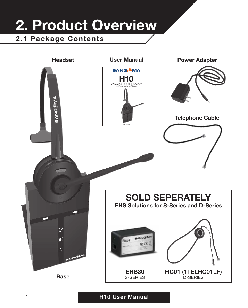# **2. Product Overview 2.1 Package Contents**

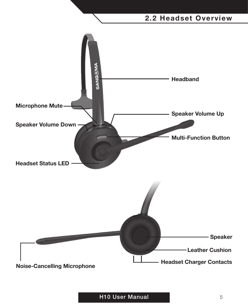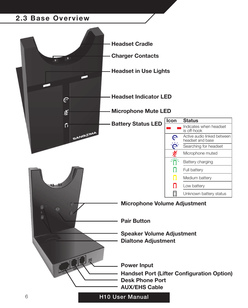#### **2.3 Base Overview**

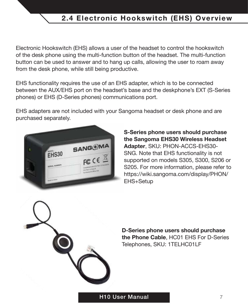## **2.4 Electronic Hookswitch (EHS) Overview**

Electronic Hookswitch (EHS) allows a user of the headset to control the hookswitch of the desk phone using the multi-function button of the headset. The multi-function button can be used to answer and to hang up calls, allowing the user to roam away from the desk phone, while still being productive.

EHS functionality requires the use of an EHS adapter, which is to be connected between the AUX/EHS port on the headset's base and the deskphone's EXT (S-Series phones) or EHS (D-Series phones) communications port.

EHS adapters are not included with your Sangoma headset or desk phone and are purchased separately.



**S-Series phone users should purchase the Sangoma EHS30 Wireless Headset Adapter**, SKU: PHON-ACCS-EHS30- SNG. Note that EHS functionality is not supported on models S305, S300, S206 or S205. For more information, please refer to https://wiki.sangoma.com/display/PHON/ EHS+Setup



**D-Series phone users should purchase the Phone Cable**, HC01 EHS For D-Series Telephones, SKU: 1TELHC01LF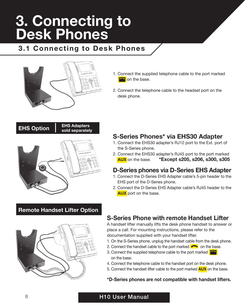# **3. Connecting to Desk Phones**

### **3.1 Connecting to Desk Phones**



- 1. Connect the supplied telephone cable to the port marked **on** the base.
- 2. Connect the telephone cable to the headset port on the desk phone.

# **EHS Option EHS Adapters sold separately**

#### **S-Series Phones\* via EHS30 Adapter**

- 1. Connect the EHS30 adapter's RJ12 port to the Ext. port of the S-Series phone.
- 2. Connect the EHS30 adapter's RJ45 port to the port marked<br>**AUX** on the base. **\*Except s205, s206, s300, s305 AUX** on the base. **\*Except s205, s206, s300, s305**

#### **D-Series phones via D-Series EHS Adapter**

- 1. Connect the D-Series EHS Adapter cable's 5-pin header to the EHS port of the D-Series phone.
- 2. Connect the D-Series EHS Adapter cable's RJ45 header to the  **AUX** port on the base.

#### **Remote Handset Lifter Option**



#### **S-Series Phone with remote Handset Lifter**

A handset lifter manually lifts the desk phone handset to answer or place a call. For mounting instructions, please refer to the documentation supplied with your handset lifter.

- 1. On the S-Series phone, unplug the handset cable from the desk phone.
- 2. Connect the handset cable to the port marked  $\bullet$  on the base.
- 3. Connect the supplied telephone cable to the port marked on the base.
- 4. Connect the telephone cable to the handset port on the desk phone.
- 5. Connect the handset lifter cable to the port marked **AUX** on the base.

#### **\*D-Series phones are not compatible with handset lifters.**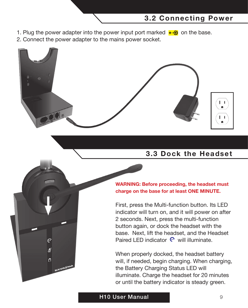#### **3.2 Connecting Power**

- 1. Plug the power adapter into the power input port marked  $\overline{\bullet}$  on the base.
- 2. Connect the power adapter to the mains power socket.



#### **3.3 Dock the Headset**



First, press the Multi-function button. Its LED indicator will turn on, and it will power on after 2 seconds. Next, press the multi-function button again, or dock the headset with the base. Next, lift the headset, and the Headset Paired LED indicator  $\mathbf e$  will illuminate.

When properly docked, the headset battery will, if needed, begin charging. When charging. the Battery Charging Status LED will illuminate. Charge the headset for 20 minutes or until the battery indicator is steady green.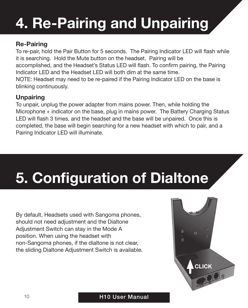# **4. Re-Pairing and Unpairing**

#### **Re-Pairing**

To re-pair, hold the Pair Button for 5 seconds. The Pairing Indicator LED will flash while it is searching. Hold the Mute button on the headset. Pairing will be accomplished, and the Headset's Status LED will flash. To confirm pairing, the Pairing Indicator LED and the Headset LED will both dim at the same time. NOTE: Headset may need to be re-paired if the Pairing Indicator LED on the base is blinking continuously.

#### **Unpairing**

To unpair, unplug the power adapter from mains power. Then, while holding the Microphone + indicator on the base, plug in mains power. The Battery Charging Status LED will flash 3 times, and the headset and the base will be unpaired. Once this is completed, the base will begin searching for a new headset with which to pair, and a Pairing Indicator LED will illuminate.

# **5. Configuration of Dialtone**

By default, Headsets used with Sangoma phones, should not need adjustment and the Dialtone Adjustment Switch can stay in the Mode A position. When using the headset with non-Sangoma phones, if the dialtone is not clear, the sliding Dialtone Adjustment Switch is available.

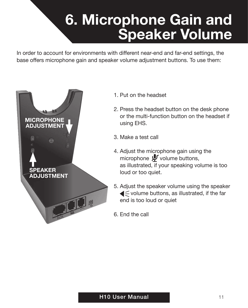# **6. Microphone Gain and Speaker Volume**

In order to account for environments with different near-end and far-end settings, the base offers microphone gain and speaker volume adjustment buttons. To use them:



- 1. Put on the headset
- 2. Press the headset button on the desk phone or the multi-function button on the headset if using EHS.
- 3. Make a test call
- 4. Adjust the microphone gain using the microphone  $\mathbfcal{V}$  volume buttons, as illustrated, if your speaking volume is too loud or too quiet.
- 5. Adjust the speaker volume using the speaker  $\blacktriangleleft$   $\leq$  volume buttons, as illustrated, if the far end is too loud or quiet
- 6. End the call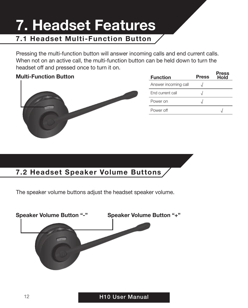# **7.1 Headset Multi-Function Button 7. Headset Features**

Pressing the multi-function button will answer incoming calls and end current calls. When not on an active call, the multi-function button can be held down to turn the headset off and pressed once to turn it on.

#### **Multi-Function Button**



| <b>Function</b>      | <b>Press</b> | Press<br>Hold |
|----------------------|--------------|---------------|
| Answer incoming call |              |               |
| Fnd current call     |              |               |
| Power on             |              |               |
| Power off            |              |               |

### **7.2 Headset Speaker Volume Buttons**

The speaker volume buttons adjust the headset speaker volume.

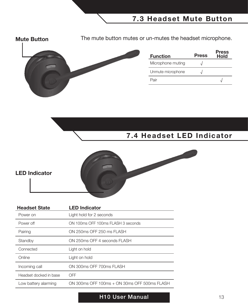**Mute Button** The mute button mutes or un-mutes the headset microphone.



| <b>Function</b>   | <b>Press</b> | Press<br>Hold |
|-------------------|--------------|---------------|
| Microphone muting |              |               |
| Unmute microphone |              |               |
| Pair              |              |               |

### **7.4 Headset LED Indicator**



#### **LED Indicator**

| <b>Headset State</b>   | <b>LED Indicator</b>                         |
|------------------------|----------------------------------------------|
| Power on               | Light hold for 2 seconds                     |
| Power off              | ON 100ms OFF 100ms FLASH 3 seconds           |
| Pairing                | ON 250ms OFF 250 ms FLASH                    |
| Standby                | ON 250ms OFF 4 seconds FLASH                 |
| Connected              | Light on hold                                |
| Online                 | Light on hold                                |
| Incoming call          | ON 300ms OFF 700ms FLASH                     |
| Headset docked in base | OFF                                          |
| Low battery alarming   | ON 300ms OFF 100ms + ON 30ms OFF 500ms FLASH |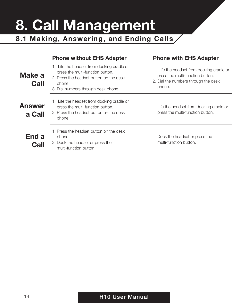# **8. Call Management**

**8.1 Making, Answering, and Ending Calls**

|                         | <b>Phone without EHS Adapter</b>                                                                                                                                           | <b>Phone with EHS Adapter</b>                                                                                                    |
|-------------------------|----------------------------------------------------------------------------------------------------------------------------------------------------------------------------|----------------------------------------------------------------------------------------------------------------------------------|
| Make a<br>Call          | 1. Life the headset from docking cradle or<br>press the multi-function button.<br>2. Press the headset button on the desk<br>phone.<br>3. Dial numbers through desk phone. | 1. Life the headset from docking cradle or<br>press the multi-function button.<br>2. Dial the numbers through the desk<br>phone. |
| <b>Answer</b><br>a Call | 1. Life the headset from docking cradle or<br>press the multi-function button.<br>2. Press the headset button on the desk<br>phone.                                        | Life the headset from docking cradle or<br>press the multi-function button.                                                      |
| End a<br>Call           | 1. Press the headset button on the desk<br>phone.<br>2. Dock the headset or press the<br>multi-function button.                                                            | Dock the headset or press the<br>multi-function button.                                                                          |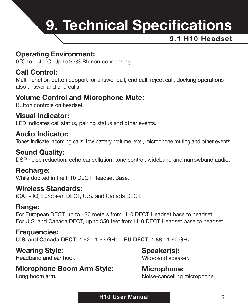

#### **Operating Environment:**

 $0^{\circ}$ C to + 40  $^{\circ}$ C; Up to 95% Rh non-condensing.

#### **Call Control:**

Multi-function button support for answer call, end call, reject call, docking operations also answer and end calls.

#### **Volume Control and Microphone Mute:**

Button controls on headset.

#### **Visual Indicator:**

LED indicates call status, pairing status and other events.

#### **Audio Indicator:**

Tones indicate incoming calls, low battery, volume level, microphone muting and other events.

#### **Sound Quality:**

DSP noise reduction; echo cancellation; tone control; wideband and narrowband audio.

#### **Recharge:**

While docked in the H10 DECT Headset Base.

#### **Wireless Standards:**

(CAT - IQ) European DECT, U.S. and Canada DECT.

#### **Range:**

For European DECT, up to 120 meters from H10 DECT Headset base to headset. For U.S. and Canada DECT, up to 350 feet from H10 DECT Headset base to headset.

#### **Frequencies:**

**U.S. and Canada DECT**: 1.92 - 1.93 GHz. **EU DECT**: 1.88 - 1.90 GHz.

#### **Wearing Style:**

Headband and ear hook.

### **Microphone Boom Arm Style:**

Long boom arm.

#### **Speaker(s):** Wideband speaker.

#### **Microphone:** Noise-cancelling microphone.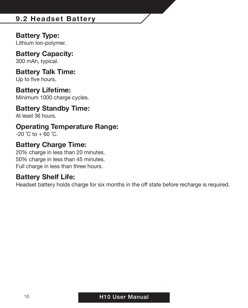### **9.2 Headset Battery**

#### **Battery Type:**

Lithium Ion-polymer.

# **Battery Capacity:**

300 mAh, typical.

#### **Battery Talk Time:** Up to five hours.

#### **Battery Lifetime:**

Minimum 1000 charge cycles.

#### **Battery Standby Time:**

At least 36 hours.

#### **Operating Temperature Range:**

 $-20$  °C to  $+60$  °C.

#### **Battery Charge Time:**

20% charge in less than 20 minutes. 50% charge in less than 45 minutes. Full charge in less than three hours.

#### **Battery Shelf Life:**

Headset battery holds charge for six months in the off state before recharge is required.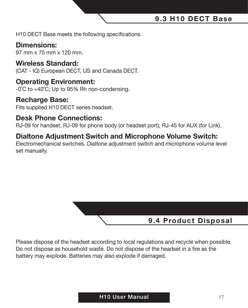**9.3 H10 DECT Base**

H10 DECT Base meets the following specifications.

#### **Dimensions:**

97 mm x 75 mm x 120 mm.

#### **Wireless Standard:**

(CAT - IQ) European DECT, US and Canada DECT.

#### **Operating Environment:**

-0˚C to +40˚C; Up to 95% Rh non-condensing.

#### **Recharge Base:**

Fits supplied H10 DECT series headset.

#### **Desk Phone Connections:**

RJ-09 for handset, RJ-09 for phone body (or headset port), RJ-45 for AUX (for Link).

#### **Dialtone Adjustment Switch and Microphone Volume Switch:**

Electromechanical switches. Dialtone adjustment switch and microphone volume level set manually.



Please dispose of the headset according to local regulations and recycle when possible. Do not dispose as household waste. Do not dispose of the headset in a fire as the battery may explode. Batteries may also explode if damaged.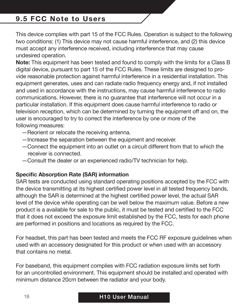### **9.5 FCC Note to Users**

This device complies with part 15 of the FCC Rules. Operation is subject to the following two conditions: (1) This device may not cause harmful interference, and (2) this device must accept any interference received, including interference that may cause undesired operation.

**Note:** This equipment has been tested and found to comply with the limits for a Class B digital device, pursuant to part 15 of the FCC Rules. These limits are designed to provide reasonable protection against harmful interference in a residential installation. This equipment generates, uses and can radiate radio frequency energy and, if not installed and used in accordance with the instructions, may cause harmful interference to radio communications. However, there is no guarantee that interference will not occur in a particular installation. If this equipment does cause harmful interference to radio or television reception, which can be determined by turning the equipment off and on, the user is encouraged to try to correct the interference by one or more of the following measures:

- —Reorient or relocate the receiving antenna.
- —Increase the separation between the equipment and receiver.
- —Connect the equipment into an outlet on a circuit different from that to which the receiver is connected.
- —Consult the dealer or an experienced radio/TV technician for help.

#### **Specific Absorption Rate (SAR) information**

SAR tests are conducted using standard operating positions accepted by the FCC with the device transmitting at its highest certified power level in all tested frequency bands, although the SAR is determined at the highest certified power level, the actual SAR level of the device while operating can be well below the maximum value. Before a new product is a available for sale to the public, it must be tested and certified to the FCC that it does not exceed the exposure limit established by the FCC, tests for each phone are performed in positions and locations as required by the FCC.

For headset, this part has been tested and meets the FCC RF exposure guidelines when used with an accessory designated for this product or when used with an accessory that contains no metal.

For baseband, this equipment complies with FCC radiation exposure limits set forth for an uncontrolled environment. This equipment should be installed and operated with minimum distance 20cm between the radiator and your body.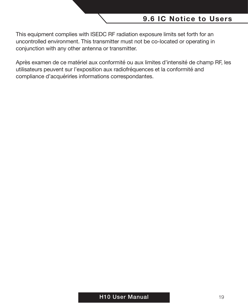#### **9.6 IC Notice to Users**

This equipment complies with ISEDC RF radiation exposure limits set forth for an uncontrolled environment. This transmitter must not be co-located or operating in conjunction with any other antenna or transmitter.

Après examen de ce matériel aux conformité ou aux limites d'intensité de champ RF, les utilisateurs peuvent sur l'exposition aux radiofréquences et la conformité and compliance d'acquérirles informations correspondantes.